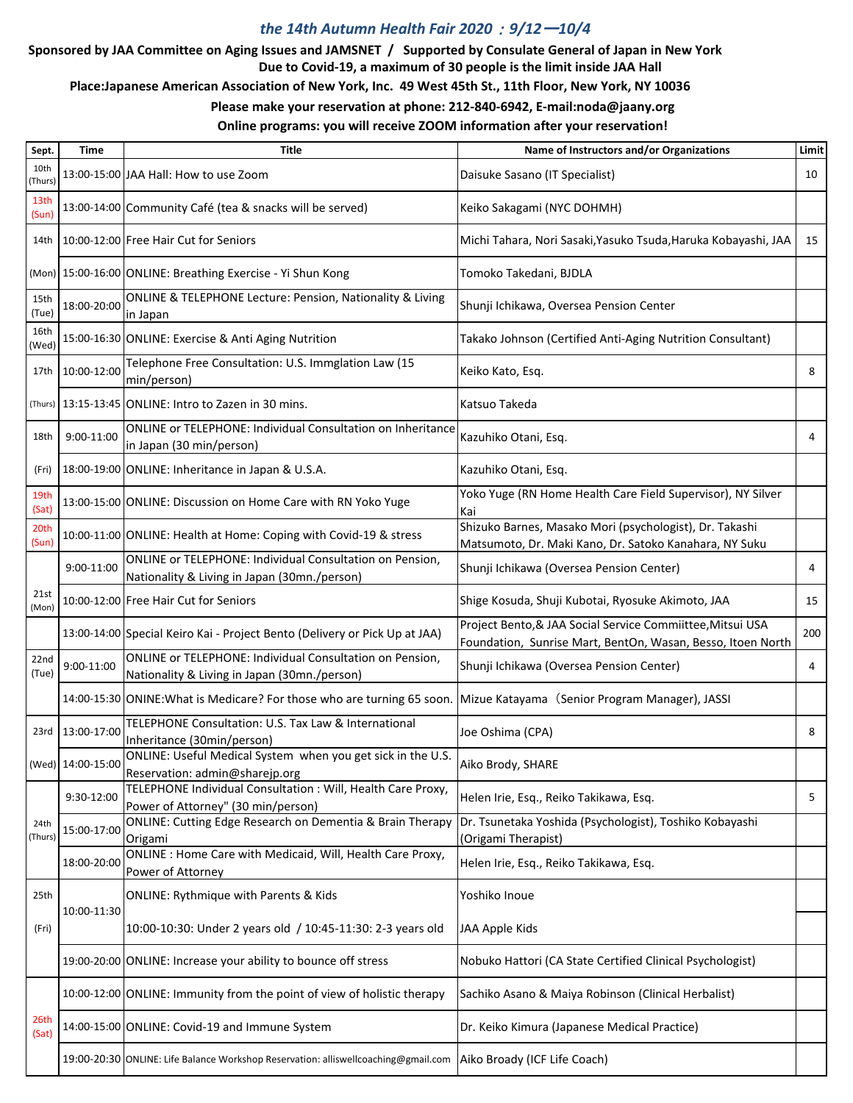## *the 14th Autumn Health Fair 2020*:*9/12*ー*10/4*

## **Sponsored by JAA Committee on Aging Issues and JAMSNET / Supported by Consulate General of Japan in New York Due to Covid-19, a maximum of 30 people is the limit inside JAA Hall**

 **Place:Japanese American Association of New York, Inc. 49 West 45th St., 11th Floor, New York, NY 10036**

**Please make your reservation at phone: 212-840-6942, E-mail:noda@jaany.org**

## **Online programs: you will receive ZOOM information after your reservation!**

| Sept.           | Time              | <b>Title</b>                                                                                             | Name of Instructors and/or Organizations                                                                                  | Limit |
|-----------------|-------------------|----------------------------------------------------------------------------------------------------------|---------------------------------------------------------------------------------------------------------------------------|-------|
| 10th<br>(Thurs) |                   | 13:00-15:00 JAA Hall: How to use Zoom                                                                    | Daisuke Sasano (IT Specialist)                                                                                            | 10    |
| 13th<br>(Sun)   |                   | 13:00-14:00 Community Café (tea & snacks will be served)                                                 | Keiko Sakagami (NYC DOHMH)                                                                                                |       |
| 14th            |                   | 10:00-12:00 Free Hair Cut for Seniors                                                                    | Michi Tahara, Nori Sasaki, Yasuko Tsuda, Haruka Kobayashi, JAA                                                            | 15    |
|                 |                   | (Mon) 15:00-16:00 ONLINE: Breathing Exercise - Yi Shun Kong                                              | Tomoko Takedani, BJDLA                                                                                                    |       |
| 15th<br>(Tue)   | 18:00-20:00       | ONLINE & TELEPHONE Lecture: Pension, Nationality & Living<br>in Japan                                    | Shunji Ichikawa, Oversea Pension Center                                                                                   |       |
| 16th<br>(Wed)   |                   | 15:00-16:30 ONLINE: Exercise & Anti Aging Nutrition                                                      | Takako Johnson (Certified Anti-Aging Nutrition Consultant)                                                                |       |
| 17th            | 10:00-12:00       | Telephone Free Consultation: U.S. Immglation Law (15<br>min/person)                                      | Keiko Kato, Esq.                                                                                                          | 8     |
| (Thurs)         |                   | 13:15-13:45 ONLINE: Intro to Zazen in 30 mins.                                                           | Katsuo Takeda                                                                                                             |       |
| 18th            | 9:00-11:00        | <b>ONLINE or TELEPHONE: Individual Consultation on Inheritance</b><br>in Japan (30 min/person)           | Kazuhiko Otani, Esq.                                                                                                      | 4     |
| (Fri)           |                   | 18:00-19:00 ONLINE: Inheritance in Japan & U.S.A.                                                        | Kazuhiko Otani, Esq.                                                                                                      |       |
| 19th<br>(Sat)   |                   | 13:00-15:00 ONLINE: Discussion on Home Care with RN Yoko Yuge                                            | Yoko Yuge (RN Home Health Care Field Supervisor), NY Silver<br>Kai                                                        |       |
| 20th<br>(Sun)   |                   | 10:00-11:00 ONLINE: Health at Home: Coping with Covid-19 & stress                                        | Shizuko Barnes, Masako Mori (psychologist), Dr. Takashi<br>Matsumoto, Dr. Maki Kano, Dr. Satoko Kanahara, NY Suku         |       |
|                 | 9:00-11:00        | ONLINE or TELEPHONE: Individual Consultation on Pension,<br>Nationality & Living in Japan (30mn./person) | Shunji Ichikawa (Oversea Pension Center)                                                                                  | 4     |
| 21st<br>(Mon)   |                   | 10:00-12:00 Free Hair Cut for Seniors                                                                    | Shige Kosuda, Shuji Kubotai, Ryosuke Akimoto, JAA                                                                         | 15    |
|                 |                   | 13:00-14:00 Special Keiro Kai - Project Bento (Delivery or Pick Up at JAA)                               | Project Bento, & JAA Social Service Commiittee, Mitsui USA<br>Foundation, Sunrise Mart, BentOn, Wasan, Besso, Itoen North | 200   |
| 22nd<br>(Tue)   | 9:00-11:00        | ONLINE or TELEPHONE: Individual Consultation on Pension,<br>Nationality & Living in Japan (30mn./person) | Shunji Ichikawa (Oversea Pension Center)                                                                                  | 4     |
|                 |                   | 14:00-15:30 ONINE: What is Medicare? For those who are turning 65 soon.                                  | Mizue Katayama (Senior Program Manager), JASSI                                                                            |       |
| 23rd            | 13:00-17:00       | TELEPHONE Consultation: U.S. Tax Law & International<br>Inheritance (30min/person)                       | Joe Oshima (CPA)                                                                                                          | 8     |
|                 | (Wed) 14:00-15:00 | ONLINE: Useful Medical System when you get sick in the U.S.<br>Reservation: admin@sharejp.org            | Aiko Brody, SHARE                                                                                                         |       |
|                 | 9:30-12:00        | TELEPHONE Individual Consultation : Will, Health Care Proxy,<br>Power of Attorney" (30 min/person)       | Helen Irie, Esq., Reiko Takikawa, Esq.                                                                                    | 5     |
| 24th<br>(Thurs) | 15:00-17:00       | <b>ONLINE: Cutting Edge Research on Dementia &amp; Brain Therapy</b><br>Origami                          | Dr. Tsunetaka Yoshida (Psychologist), Toshiko Kobayashi<br>(Origami Therapist)                                            |       |
|                 | 18:00-20:00       | ONLINE : Home Care with Medicaid, Will, Health Care Proxy,<br>Power of Attorney                          | Helen Irie, Esq., Reiko Takikawa, Esq.                                                                                    |       |
| 25th            |                   | <b>ONLINE: Rythmique with Parents &amp; Kids</b>                                                         | Yoshiko Inoue                                                                                                             |       |
| (Fri)           | 10:00-11:30       | 10:00-10:30: Under 2 years old / 10:45-11:30: 2-3 years old                                              | JAA Apple Kids                                                                                                            |       |
|                 |                   | 19:00-20:00 ONLINE: Increase your ability to bounce off stress                                           | Nobuko Hattori (CA State Certified Clinical Psychologist)                                                                 |       |
|                 |                   | 10:00-12:00 ONLINE: Immunity from the point of view of holistic therapy                                  | Sachiko Asano & Maiya Robinson (Clinical Herbalist)                                                                       |       |
| 26th<br>(Sat)   |                   | 14:00-15:00 ONLINE: Covid-19 and Immune System                                                           | Dr. Keiko Kimura (Japanese Medical Practice)                                                                              |       |
|                 |                   | 19:00-20:30 ONLINE: Life Balance Workshop Reservation: alliswellcoaching@gmail.com                       | Aiko Broady (ICF Life Coach)                                                                                              |       |